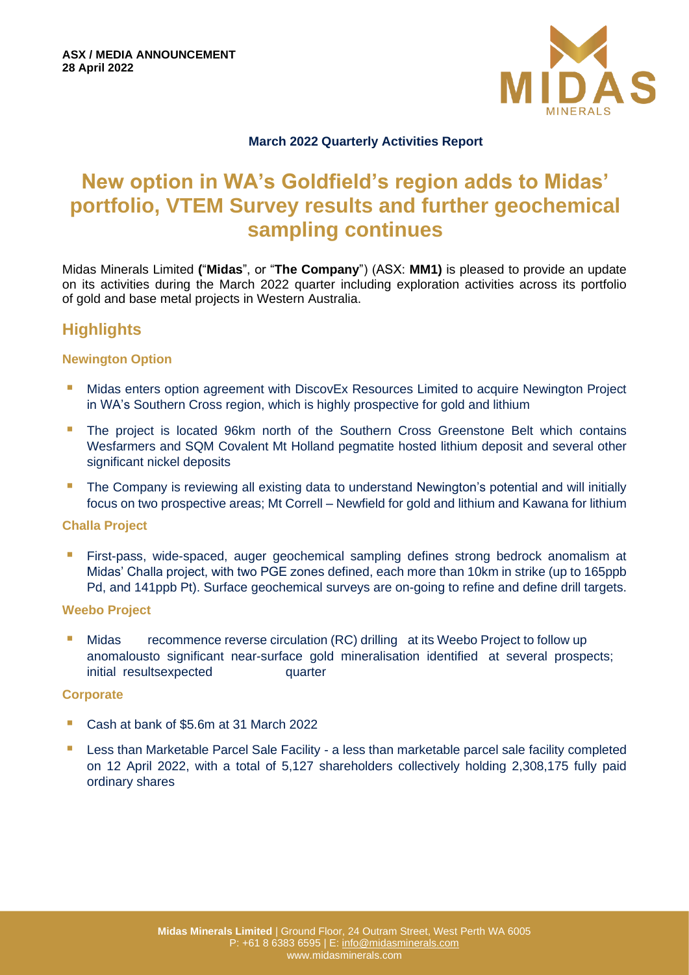

## **March 2022 Quarterly Activities Report**

# **New option in WA's Goldfield's region adds to Midas' portfolio, VTEM Survey results and further geochemical sampling continues**

Midas Minerals Limited **(**"**Midas**", or "**The Company**") (ASX: **MM1)** is pleased to provide an update on its activities during the March 2022 quarter including exploration activities across its portfolio of OLWKLXPgold and base metal projects in Western Australia.

## **Highlights**

## **Newington Option**

- **■** Midas enters option agreement with DiscovEx Resources Limited to acquire Newington Project in WA's Southern Cross region, which is highly prospective for gold and lithium
- **•** The project is located 96km north of the Southern Cross Greenstone Belt which contains Wesfarmers and SQM Covalent Mt Holland pegmatite hosted lithium deposit and several other significant nickel deposits
- The Company is reviewing all existing data to understand Newington's potential and will initially focus on two prospective areas; Mt Correll – Newfield for gold and lithium and Kawana for lithium

## **Challa Project**

**EXT** First-pass, wide-spaced, auger geochemical sampling defines strong bedrock anomalism at Midas' Challa project, with two PGE zones defined, each more than 10km in strike (up to 165ppb Pd, and 141ppb Pt). Surface geochemical surveys are on-going to refine and define drill targets.

## **Weebo Project**

**■** Midas KDV ecommenceG reverse circulation (RC) drilling at its Weebo Project to follow up anomalousto significant near-surface gold mineralisation identified at several prospects; initial resultsexpected LQWKH-XQtuarter

## **Corporate**

- Cash at bank of \$5.6m at 31 March 2022
- **E** Less than Marketable Parcel Sale Facility a less than marketable parcel sale facility completed on 12 April 2022, with a total of 5,127 shareholders collectively holding 2,308,175 fully paid ordinary shares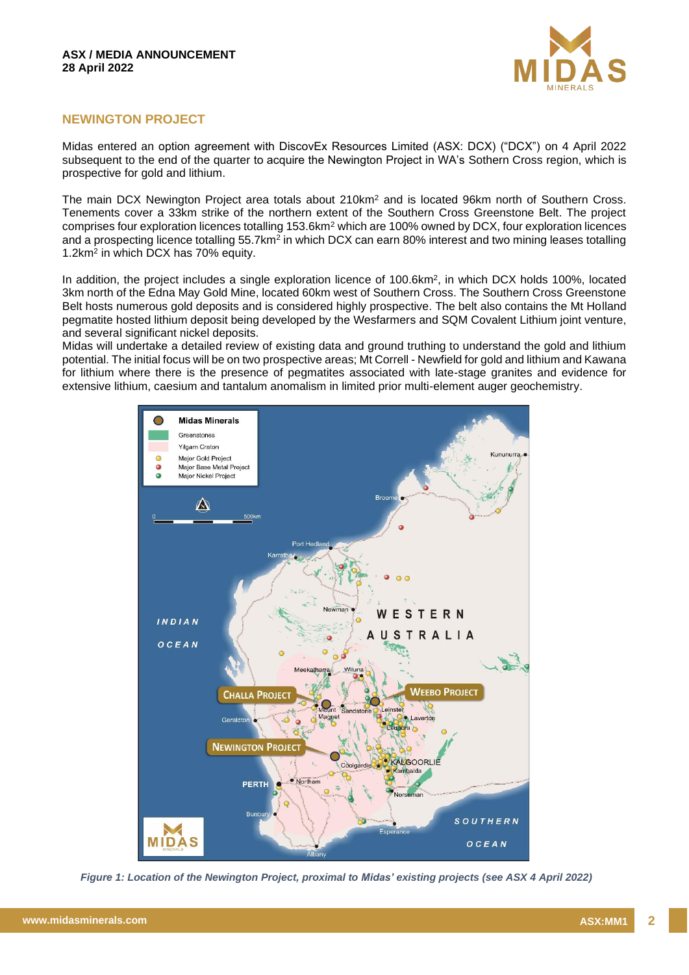

## **NEWINGTON PROJECT**

Midas entered an option agreement with DiscovEx Resources Limited (ASX: DCX) ("DCX") on 4 April 2022 subsequent to the end of the quarter to acquire the Newington Project in WA's Sothern Cross region, which is prospective for gold and lithium.

The main DCX Newington Project area totals about 210km<sup>2</sup> and is located 96km north of Southern Cross. Tenements cover a 33km strike of the northern extent of the Southern Cross Greenstone Belt. The project comprises four exploration licences totalling 153.6km<sup>2</sup> which are 100% owned by DCX, four exploration licences and a prospecting licence totalling 55.7km<sup>2</sup> in which DCX can earn 80% interest and two mining leases totalling 1.2km<sup>2</sup> in which DCX has 70% equity.

In addition, the project includes a single exploration licence of 100.6km<sup>2</sup> , in which DCX holds 100%, located 3km north of the Edna May Gold Mine, located 60km west of Southern Cross. The Southern Cross Greenstone Belt hosts numerous gold deposits and is considered highly prospective. The belt also contains the Mt Holland pegmatite hosted lithium deposit being developed by the Wesfarmers and SQM Covalent Lithium joint venture, and several significant nickel deposits.

Midas will undertake a detailed review of existing data and ground truthing to understand the gold and lithium potential. The initial focus will be on two prospective areas; Mt Correll - Newfield for gold and lithium and Kawana for lithium where there is the presence of pegmatites associated with late-stage granites and evidence for extensive lithium, caesium and tantalum anomalism in limited prior multi-element auger geochemistry.



*Figure 1: Location of the Newington Project, proximal to Midas' existing projects (see ASX 4 April 2022)*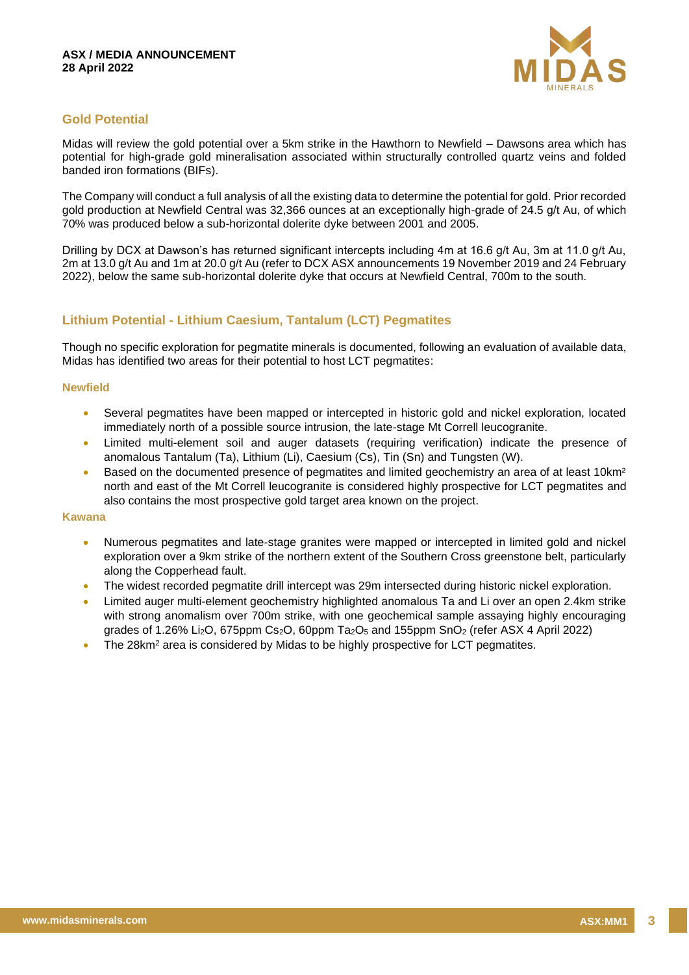

## **Gold Potential**

Midas will review the gold potential over a 5km strike in the Hawthorn to Newfield – Dawsons area which has potential for high-grade gold mineralisation associated within structurally controlled quartz veins and folded banded iron formations (BIFs).

The Company will conduct a full analysis of all the existing data to determine the potential for gold. Prior recorded gold production at Newfield Central was 32,366 ounces at an exceptionally high-grade of 24.5 g/t Au, of which 70% was produced below a sub-horizontal dolerite dyke between 2001 and 2005.

Drilling by DCX at Dawson's has returned significant intercepts including 4m at 16.6 g/t Au, 3m at 11.0 g/t Au, 2m at 13.0 g/t Au and 1m at 20.0 g/t Au (refer to DCX ASX announcements 19 November 2019 and 24 February 2022), below the same sub-horizontal dolerite dyke that occurs at Newfield Central, 700m to the south.

## **Lithium Potential - Lithium Caesium, Tantalum (LCT) Pegmatites**

Though no specific exploration for pegmatite minerals is documented, following an evaluation of available data, Midas has identified two areas for their potential to host LCT pegmatites:

### **Newfield**

- Several pegmatites have been mapped or intercepted in historic gold and nickel exploration, located immediately north of a possible source intrusion, the late-stage Mt Correll leucogranite.
- Limited multi-element soil and auger datasets (requiring verification) indicate the presence of anomalous Tantalum (Ta), Lithium (Li), Caesium (Cs), Tin (Sn) and Tungsten (W).
- Based on the documented presence of pegmatites and limited geochemistry an area of at least 10km<sup>2</sup> north and east of the Mt Correll leucogranite is considered highly prospective for LCT pegmatites and also contains the most prospective gold target area known on the project.

#### **Kawana**

- Numerous pegmatites and late-stage granites were mapped or intercepted in limited gold and nickel exploration over a 9km strike of the northern extent of the Southern Cross greenstone belt, particularly along the Copperhead fault.
- The widest recorded pegmatite drill intercept was 29m intersected during historic nickel exploration.
- Limited auger multi-element geochemistry highlighted anomalous Ta and Li over an open 2.4km strike with strong anomalism over 700m strike, with one geochemical sample assaying highly encouraging grades of 1.26% Li2O, 675ppm Cs2O, 60ppm Ta2O<sup>5</sup> and 155ppm SnO<sup>2</sup> (refer ASX 4 April 2022)
- The 28km<sup>2</sup> area is considered by Midas to be highly prospective for LCT pegmatites.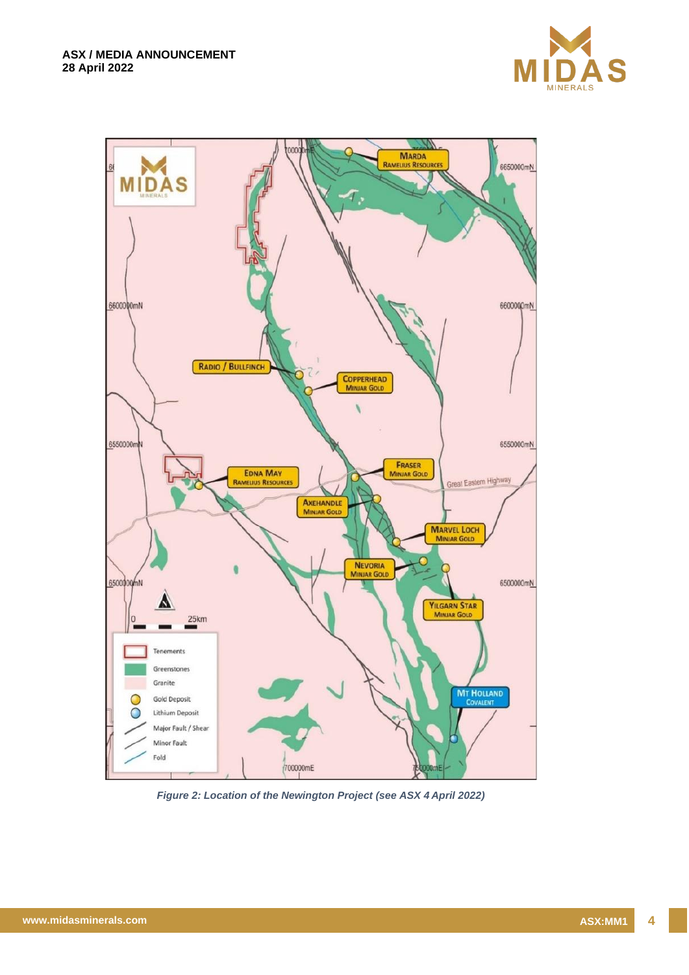



*Figure 2: Location of the Newington Project (see ASX 4 April 2022)*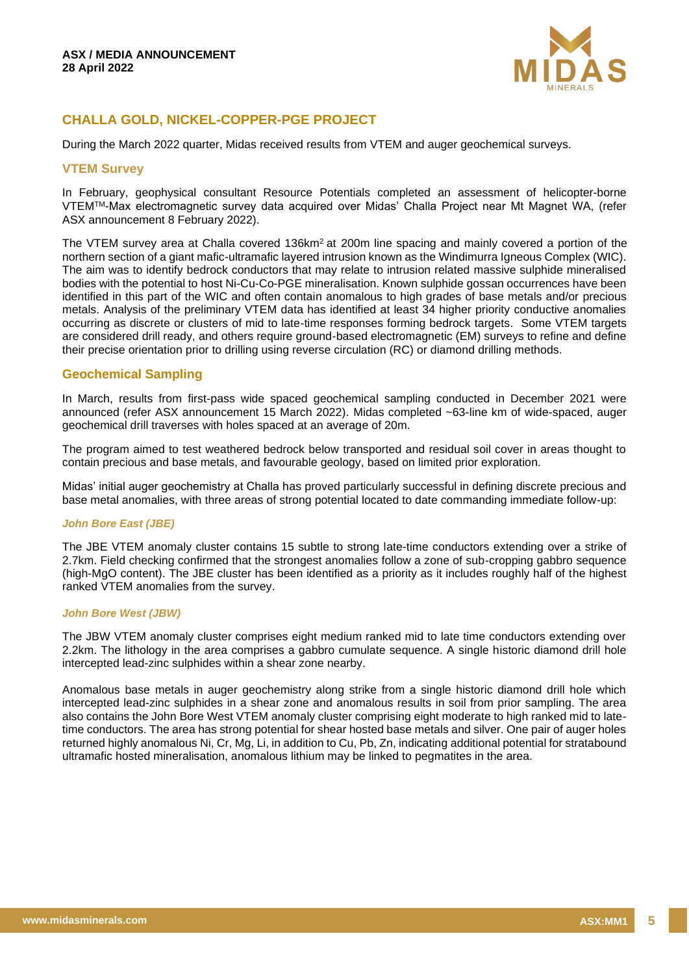

## **CHALLA GOLD, NICKEL-COPPER-PGE PROJECT**

During the March 2022 quarter, Midas received results from VTEM and auger geochemical surveys.

#### **VTEM Survey**

In February, geophysical consultant Resource Potentials completed an assessment of helicopter-borne VTEMTM-Max electromagnetic survey data acquired over Midas' Challa Project near Mt Magnet WA, (refer ASX announcement 8 February 2022).

The VTEM survey area at Challa covered 136km<sup>2</sup> at 200m line spacing and mainly covered a portion of the northern section of a giant mafic-ultramafic layered intrusion known as the Windimurra Igneous Complex (WIC). The aim was to identify bedrock conductors that may relate to intrusion related massive sulphide mineralised bodies with the potential to host Ni-Cu-Co-PGE mineralisation. Known sulphide gossan occurrences have been identified in this part of the WIC and often contain anomalous to high grades of base metals and/or precious metals. Analysis of the preliminary VTEM data has identified at least 34 higher priority conductive anomalies occurring as discrete or clusters of mid to late-time responses forming bedrock targets. Some VTEM targets are considered drill ready, and others require ground-based electromagnetic (EM) surveys to refine and define their precise orientation prior to drilling using reverse circulation (RC) or diamond drilling methods.

### **Geochemical Sampling**

In March, results from first-pass wide spaced geochemical sampling conducted in December 2021 were announced (refer ASX announcement 15 March 2022). Midas completed ~63-line km of wide-spaced, auger geochemical drill traverses with holes spaced at an average of 20m.

The program aimed to test weathered bedrock below transported and residual soil cover in areas thought to contain precious and base metals, and favourable geology, based on limited prior exploration.

Midas' initial auger geochemistry at Challa has proved particularly successful in defining discrete precious and base metal anomalies, with three areas of strong potential located to date commanding immediate follow-up:

#### *John Bore East (JBE)*

The JBE VTEM anomaly cluster contains 15 subtle to strong late-time conductors extending over a strike of 2.7km. Field checking confirmed that the strongest anomalies follow a zone of sub-cropping gabbro sequence (high-MgO content). The JBE cluster has been identified as a priority as it includes roughly half of the highest ranked VTEM anomalies from the survey.

#### *John Bore West (JBW)*

The JBW VTEM anomaly cluster comprises eight medium ranked mid to late time conductors extending over 2.2km. The lithology in the area comprises a gabbro cumulate sequence. A single historic diamond drill hole intercepted lead-zinc sulphides within a shear zone nearby.

Anomalous base metals in auger geochemistry along strike from a single historic diamond drill hole which intercepted lead-zinc sulphides in a shear zone and anomalous results in soil from prior sampling. The area also contains the John Bore West VTEM anomaly cluster comprising eight moderate to high ranked mid to latetime conductors. The area has strong potential for shear hosted base metals and silver. One pair of auger holes returned highly anomalous Ni, Cr, Mg, Li, in addition to Cu, Pb, Zn, indicating additional potential for stratabound ultramafic hosted mineralisation, anomalous lithium may be linked to pegmatites in the area.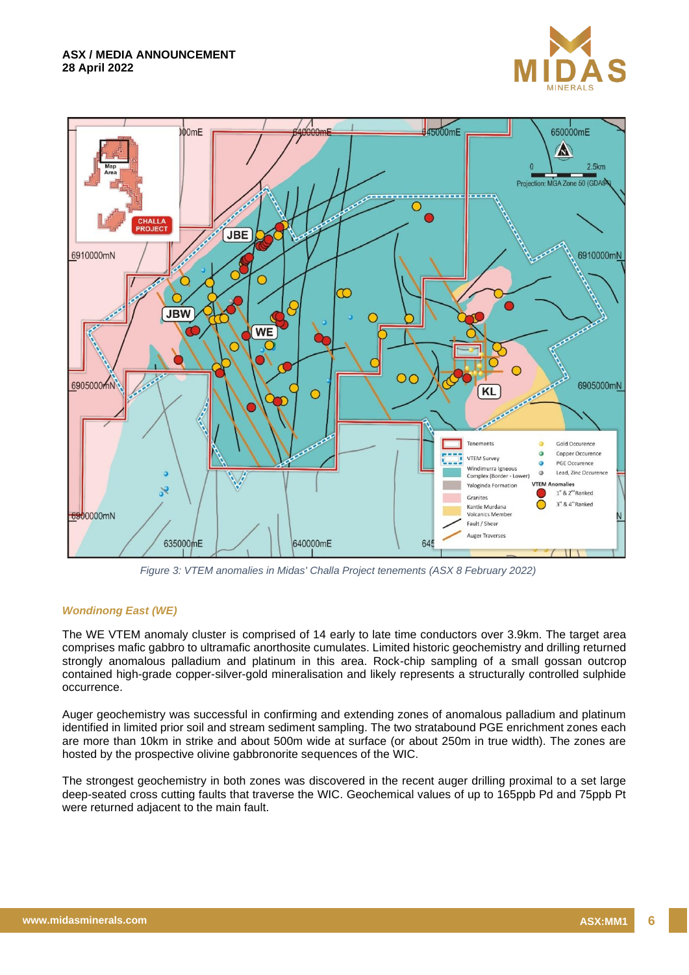



*Figure 3: VTEM anomalies in Midas' Challa Project tenements (ASX 8 February 2022)*

#### *Wondinong East (WE)*

The WE VTEM anomaly cluster is comprised of 14 early to late time conductors over 3.9km. The target area comprises mafic gabbro to ultramafic anorthosite cumulates. Limited historic geochemistry and drilling returned strongly anomalous palladium and platinum in this area. Rock-chip sampling of a small gossan outcrop contained high-grade copper-silver-gold mineralisation and likely represents a structurally controlled sulphide occurrence.

Auger geochemistry was successful in confirming and extending zones of anomalous palladium and platinum identified in limited prior soil and stream sediment sampling. The two stratabound PGE enrichment zones each are more than 10km in strike and about 500m wide at surface (or about 250m in true width). The zones are hosted by the prospective olivine gabbronorite sequences of the WIC.

The strongest geochemistry in both zones was discovered in the recent auger drilling proximal to a set large deep-seated cross cutting faults that traverse the WIC. Geochemical values of up to 165ppb Pd and 75ppb Pt were returned adjacent to the main fault.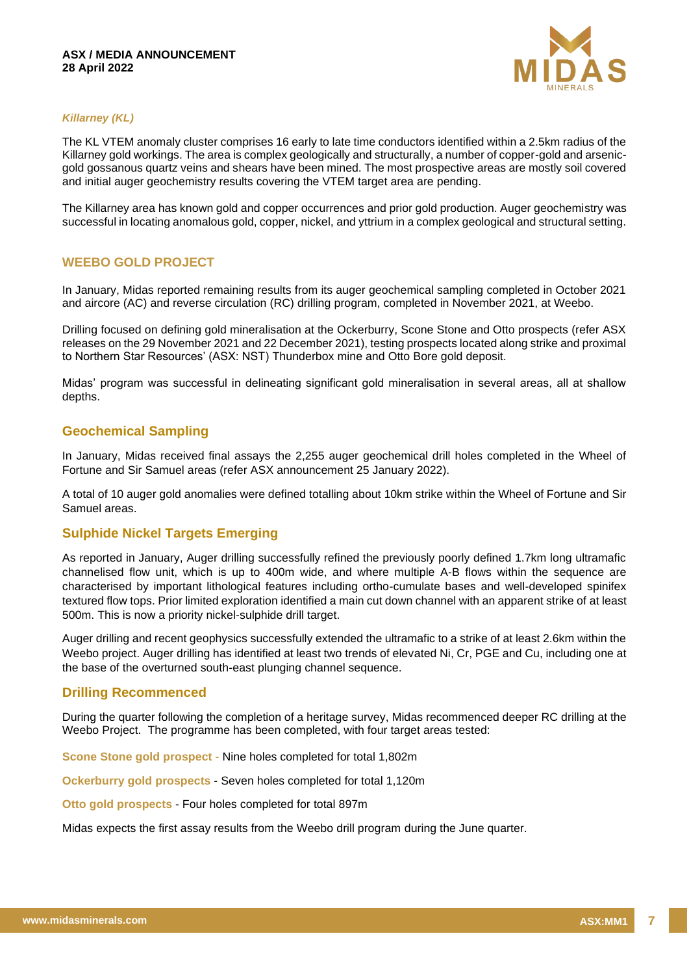#### **ASX / MEDIA ANNOUNCEMENT 28 April 2022**



#### *Killarney (KL)*

The KL VTEM anomaly cluster comprises 16 early to late time conductors identified within a 2.5km radius of the Killarney gold workings. The area is complex geologically and structurally, a number of copper-gold and arsenicgold gossanous quartz veins and shears have been mined. The most prospective areas are mostly soil covered and initial auger geochemistry results covering the VTEM target area are pending.

The Killarney area has known gold and copper occurrences and prior gold production. Auger geochemistry was successful in locating anomalous gold, copper, nickel, and yttrium in a complex geological and structural setting.

## **WEEBO GOLD PROJECT**

In January, Midas reported remaining results from its auger geochemical sampling completed in October 2021 and aircore (AC) and reverse circulation (RC) drilling program, completed in November 2021, at Weebo.

Drilling focused on defining gold mineralisation at the Ockerburry, Scone Stone and Otto prospects (refer ASX releases on the 29 November 2021 and 22 December 2021), testing prospects located along strike and proximal to Northern Star Resources' (ASX: NST) Thunderbox mine and Otto Bore gold deposit.

Midas' program was successful in delineating significant gold mineralisation in several areas, all at shallow depths.

## **Geochemical Sampling**

In January, Midas received final assays the 2,255 auger geochemical drill holes completed in the Wheel of Fortune and Sir Samuel areas (refer ASX announcement 25 January 2022).

A total of 10 auger gold anomalies were defined totalling about 10km strike within the Wheel of Fortune and Sir Samuel areas.

## **Sulphide Nickel Targets Emerging**

As reported in January, Auger drilling successfully refined the previously poorly defined 1.7km long ultramafic channelised flow unit, which is up to 400m wide, and where multiple A-B flows within the sequence are characterised by important lithological features including ortho-cumulate bases and well-developed spinifex textured flow tops. Prior limited exploration identified a main cut down channel with an apparent strike of at least 500m. This is now a priority nickel-sulphide drill target.

Auger drilling and recent geophysics successfully extended the ultramafic to a strike of at least 2.6km within the Weebo project. Auger drilling has identified at least two trends of elevated Ni, Cr, PGE and Cu, including one at the base of the overturned south-east plunging channel sequence.

## **Drilling Recommenced**

During the quarter following the completion of a heritage survey, Midas recommenced deeper RC drilling at the Weebo Project. The programme has been completed, with four target areas tested:

**Scone Stone gold prospect** - Nine holes completed for total 1,802m

**Ockerburry gold prospects** - Seven holes completed for total 1,120m

**Otto gold prospects** - Four holes completed for total 897m

Midas expects the first assay results from the Weebo drill program during the June quarter.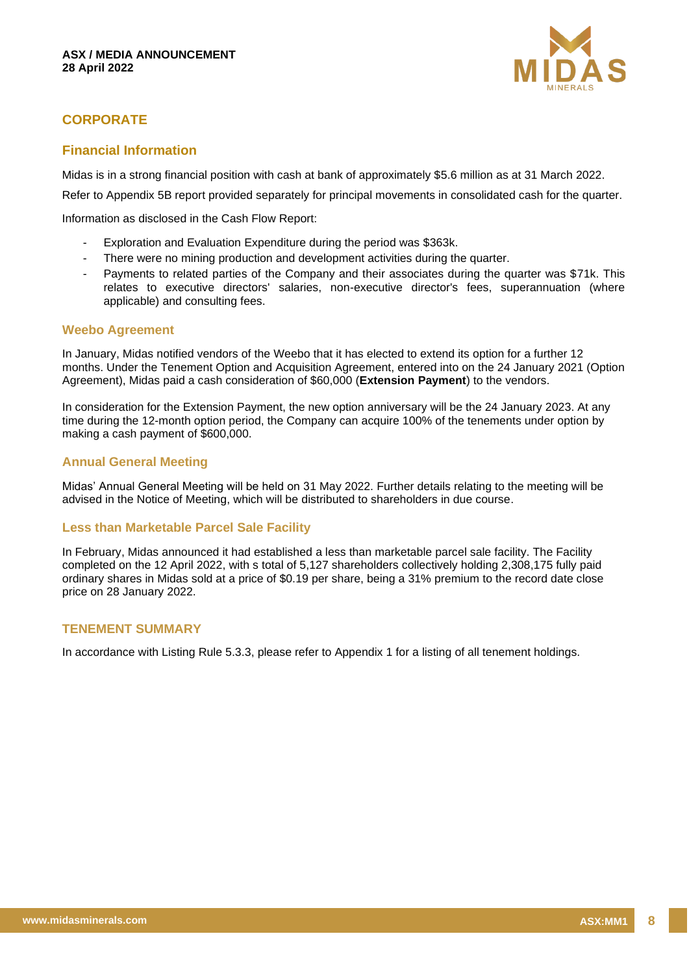

## **CORPORATE**

## **Financial Information**

Midas is in a strong financial position with cash at bank of approximately \$5.6 million as at 31 March 2022.

Refer to Appendix 5B report provided separately for principal movements in consolidated cash for the quarter.

Information as disclosed in the Cash Flow Report:

- Exploration and Evaluation Expenditure during the period was \$363k.
- There were no mining production and development activities during the quarter.
- Payments to related parties of the Company and their associates during the quarter was \$71k. This relates to executive directors' salaries, non-executive director's fees, superannuation (where applicable) and consulting fees.

## **Weebo Agreement**

In January, Midas notified vendors of the Weebo that it has elected to extend its option for a further 12 months. Under the Tenement Option and Acquisition Agreement, entered into on the 24 January 2021 (Option Agreement), Midas paid a cash consideration of \$60,000 (**Extension Payment**) to the vendors.

In consideration for the Extension Payment, the new option anniversary will be the 24 January 2023. At any time during the 12-month option period, the Company can acquire 100% of the tenements under option by making a cash payment of \$600,000.

## **Annual General Meeting**

Midas' Annual General Meeting will be held on 31 May 2022. Further details relating to the meeting will be advised in the Notice of Meeting, which will be distributed to shareholders in due course.

## **Less than Marketable Parcel Sale Facility**

In February, Midas announced it had established a less than marketable parcel sale facility. The Facility completed on the 12 April 2022, with s total of 5,127 shareholders collectively holding 2,308,175 fully paid ordinary shares in Midas sold at a price of \$0.19 per share, being a 31% premium to the record date close price on 28 January 2022.

## **TENEMENT SUMMARY**

In accordance with Listing Rule 5.3.3, please refer to Appendix 1 for a listing of all tenement holdings.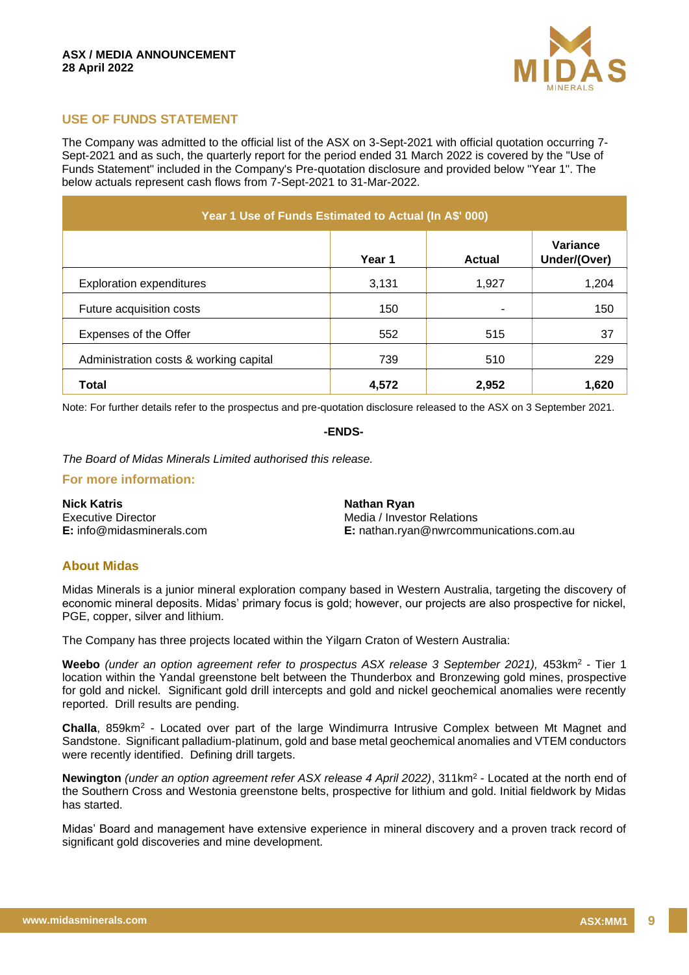

## **USE OF FUNDS STATEMENT**

The Company was admitted to the official list of the ASX on 3-Sept-2021 with official quotation occurring 7- Sept-2021 and as such, the quarterly report for the period ended 31 March 2022 is covered by the "Use of Funds Statement" included in the Company's Pre-quotation disclosure and provided below "Year 1". The below actuals represent cash flows from 7-Sept-2021 to 31-Mar-2022.

| Year 1 Use of Funds Estimated to Actual (In A\$' 000) |        |               |                          |  |  |
|-------------------------------------------------------|--------|---------------|--------------------------|--|--|
|                                                       | Year 1 | <b>Actual</b> | Variance<br>Under/(Over) |  |  |
| <b>Exploration expenditures</b>                       | 3,131  | 1,927         | 1,204                    |  |  |
| Future acquisition costs                              | 150    | ۰             | 150                      |  |  |
| Expenses of the Offer                                 | 552    | 515           | 37                       |  |  |
| Administration costs & working capital                | 739    | 510           | 229                      |  |  |
| <b>Total</b>                                          | 4,572  | 2,952         | 1.620                    |  |  |

Note: For further details refer to the prospectus and pre-quotation disclosure released to the ASX on 3 September 2021.

#### **-ENDS-**

*The Board of Midas Minerals Limited authorised this release.*

### **For more information:**

**Nick Katris** Executive Director **E:** info@midasminerals.com **Nathan Ryan** Media / Investor Relations **E:** nathan.ryan@nwrcommunications.com.au

#### **About Midas**

Midas Minerals is a junior mineral exploration company based in Western Australia, targeting the discovery of economic mineral deposits. Midas' primary focus is gold; however, our projects are also prospective for nickel, PGE, copper, silver and lithium.

The Company has three projects located within the Yilgarn Craton of Western Australia:

**Weebo** *(under an option agreement refer to prospectus ASX release 3 September 2021),* 453km<sup>2</sup> - Tier 1 location within the Yandal greenstone belt between the Thunderbox and Bronzewing gold mines, prospective for gold and nickel. Significant gold drill intercepts and gold and nickel geochemical anomalies were recently reported. Drill results are pending.

**Challa**, 859km<sup>2</sup> - Located over part of the large Windimurra Intrusive Complex between Mt Magnet and Sandstone. Significant palladium-platinum, gold and base metal geochemical anomalies and VTEM conductors were recently identified. Defining drill targets.

**Newington** *(under an option agreement refer ASX release 4 April 2022)*, 311km<sup>2</sup> - Located at the north end of the Southern Cross and Westonia greenstone belts, prospective for lithium and gold. Initial fieldwork by Midas has started.

Midas' Board and management have extensive experience in mineral discovery and a proven track record of significant gold discoveries and mine development.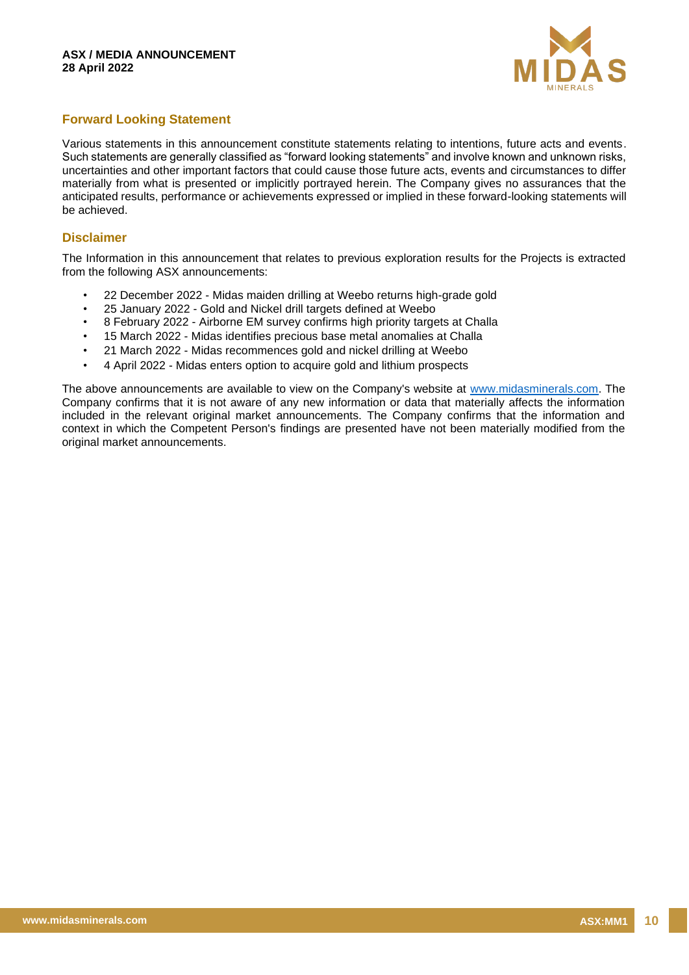

## **Forward Looking Statement**

Various statements in this announcement constitute statements relating to intentions, future acts and events. Such statements are generally classified as "forward looking statements" and involve known and unknown risks, uncertainties and other important factors that could cause those future acts, events and circumstances to differ materially from what is presented or implicitly portrayed herein. The Company gives no assurances that the anticipated results, performance or achievements expressed or implied in these forward-looking statements will be achieved.

## **Disclaimer**

The Information in this announcement that relates to previous exploration results for the Projects is extracted from the following ASX announcements:

- 22 December 2022 Midas maiden drilling at Weebo returns high-grade gold
- 25 January 2022 Gold and Nickel drill targets defined at Weebo
- 8 February 2022 Airborne EM survey confirms high priority targets at Challa
- 15 March 2022 Midas identifies precious base metal anomalies at Challa
- 21 March 2022 Midas recommences gold and nickel drilling at Weebo
- 4 April 2022 Midas enters option to acquire gold and lithium prospects

The above announcements are available to view on the Company's website at [www.midasminerals.com.](http://www.midasminerals.com/) The Company confirms that it is not aware of any new information or data that materially affects the information included in the relevant original market announcements. The Company confirms that the information and context in which the Competent Person's findings are presented have not been materially modified from the original market announcements.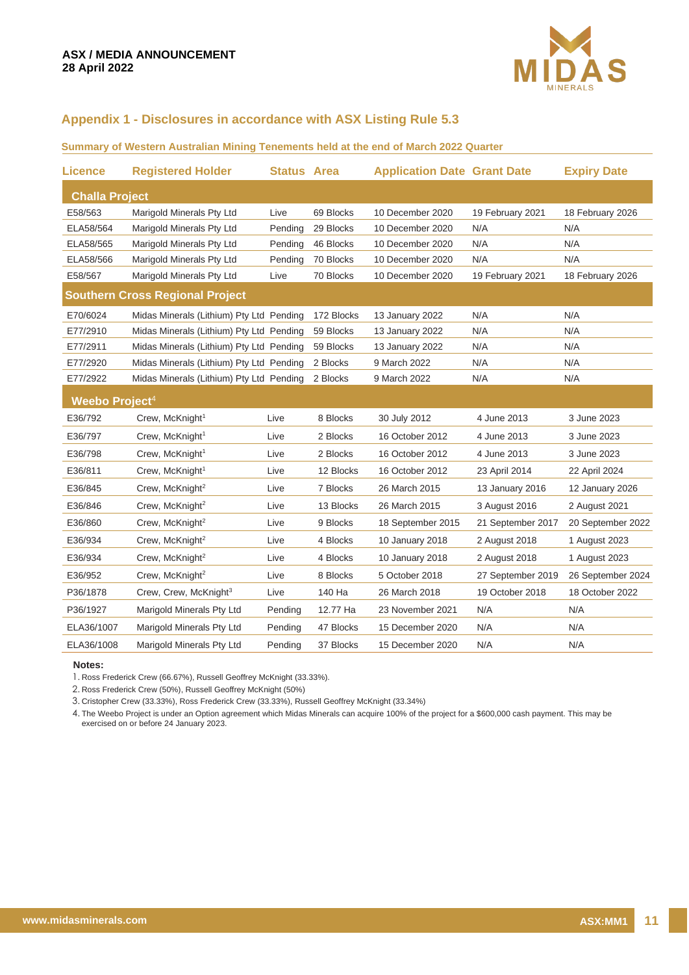

## **Appendix 1 - Disclosures in accordance with ASX Listing Rule 5.3**

### **Summary of Western Australian Mining Tenements held at the end of March 2022 Quarter**

| <b>Licence</b>             | <b>Registered Holder</b>                 | <b>Status Area</b> |            | <b>Application Date Grant Date</b> |                   | <b>Expiry Date</b> |
|----------------------------|------------------------------------------|--------------------|------------|------------------------------------|-------------------|--------------------|
| <b>Challa Project</b>      |                                          |                    |            |                                    |                   |                    |
| E58/563                    | Marigold Minerals Pty Ltd                | Live               | 69 Blocks  | 10 December 2020                   | 19 February 2021  | 18 February 2026   |
| ELA58/564                  | Marigold Minerals Pty Ltd                | Pending            | 29 Blocks  | 10 December 2020                   | N/A               | N/A                |
| ELA58/565                  | Marigold Minerals Pty Ltd                | Pending            | 46 Blocks  | 10 December 2020                   | N/A               | N/A                |
| ELA58/566                  | Marigold Minerals Pty Ltd                | Pending            | 70 Blocks  | 10 December 2020                   | N/A               | N/A                |
| E58/567                    | Marigold Minerals Pty Ltd                | Live               | 70 Blocks  | 10 December 2020                   | 19 February 2021  | 18 February 2026   |
|                            | <b>Southern Cross Regional Project</b>   |                    |            |                                    |                   |                    |
| E70/6024                   | Midas Minerals (Lithium) Pty Ltd Pending |                    | 172 Blocks | 13 January 2022                    | N/A               | N/A                |
| E77/2910                   | Midas Minerals (Lithium) Pty Ltd Pending |                    | 59 Blocks  | 13 January 2022                    | N/A               | N/A                |
| E77/2911                   | Midas Minerals (Lithium) Pty Ltd Pending |                    | 59 Blocks  | 13 January 2022                    | N/A               | N/A                |
| E77/2920                   | Midas Minerals (Lithium) Pty Ltd Pending |                    | 2 Blocks   | 9 March 2022                       | N/A               | N/A                |
| E77/2922                   | Midas Minerals (Lithium) Pty Ltd Pending |                    | 2 Blocks   | 9 March 2022                       | N/A               | N/A                |
| Weebo Project <sup>4</sup> |                                          |                    |            |                                    |                   |                    |
| E36/792                    | Crew, McKnight <sup>1</sup>              | Live               | 8 Blocks   | 30 July 2012                       | 4 June 2013       | 3 June 2023        |
| E36/797                    | Crew, McKnight <sup>1</sup>              | Live               | 2 Blocks   | 16 October 2012                    | 4 June 2013       | 3 June 2023        |
| E36/798                    | Crew, McKnight <sup>1</sup>              | Live               | 2 Blocks   | 16 October 2012                    | 4 June 2013       | 3 June 2023        |
| E36/811                    | Crew, McKnight <sup>1</sup>              | Live               | 12 Blocks  | 16 October 2012                    | 23 April 2014     | 22 April 2024      |
| E36/845                    | Crew, McKnight <sup>2</sup>              | Live               | 7 Blocks   | 26 March 2015                      | 13 January 2016   | 12 January 2026    |
| E36/846                    | Crew, McKnight <sup>2</sup>              | Live               | 13 Blocks  | 26 March 2015                      | 3 August 2016     | 2 August 2021      |
| E36/860                    | Crew, McKnight <sup>2</sup>              | Live               | 9 Blocks   | 18 September 2015                  | 21 September 2017 | 20 September 2022  |
| E36/934                    | Crew, McKnight <sup>2</sup>              | Live               | 4 Blocks   | 10 January 2018                    | 2 August 2018     | 1 August 2023      |
| E36/934                    | Crew, McKnight <sup>2</sup>              | Live               | 4 Blocks   | 10 January 2018                    | 2 August 2018     | 1 August 2023      |
| E36/952                    | Crew, McKnight <sup>2</sup>              | Live               | 8 Blocks   | 5 October 2018                     | 27 September 2019 | 26 September 2024  |
| P36/1878                   | Crew, Crew, McKnight <sup>3</sup>        | Live               | 140 Ha     | 26 March 2018                      | 19 October 2018   | 18 October 2022    |
| P36/1927                   | Marigold Minerals Pty Ltd                | Pending            | 12.77 Ha   | 23 November 2021                   | N/A               | N/A                |
| ELA36/1007                 | Marigold Minerals Pty Ltd                | Pending            | 47 Blocks  | 15 December 2020                   | N/A               | N/A                |
| ELA36/1008                 | Marigold Minerals Pty Ltd                | Pending            | 37 Blocks  | 15 December 2020                   | N/A               | N/A                |

#### **Notes:**

1. Ross Frederick Crew (66.67%), Russell Geoffrey McKnight (33.33%).

2. Ross Frederick Crew (50%), Russell Geoffrey McKnight (50%)

3. Cristopher Crew (33.33%), Ross Frederick Crew (33.33%), Russell Geoffrey McKnight (33.34%)

4. The Weebo Project is under an Option agreement which Midas Minerals can acquire 100% of the project for a \$600,000 cash payment. This may be exercised on or before 24 January 2023.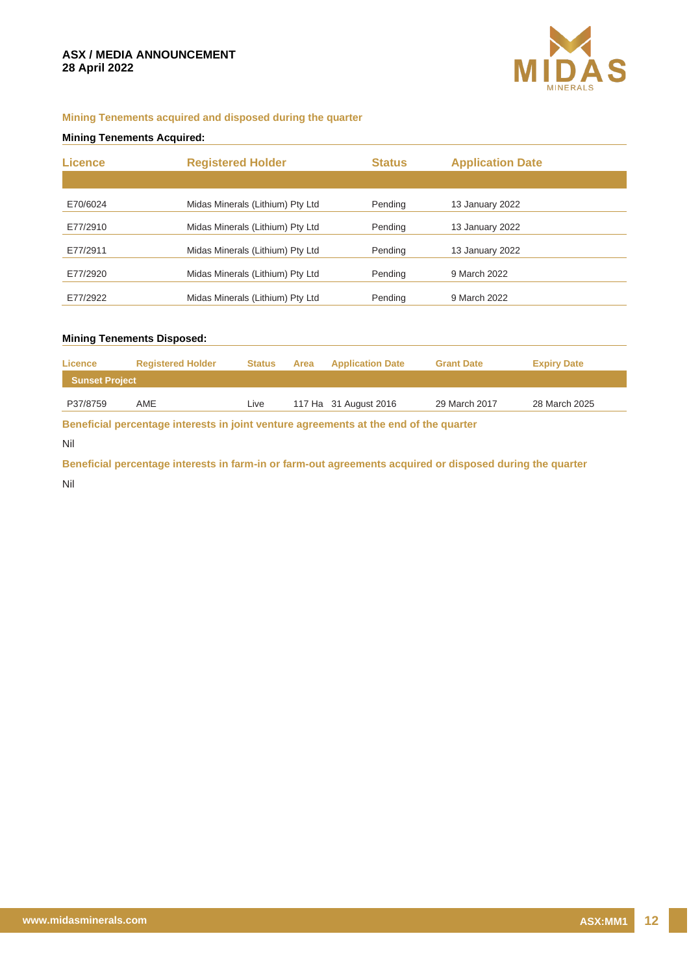

#### **Mining Tenements acquired and disposed during the quarter**

### **Mining Tenements Acquired:**

| <b>Licence</b> | <b>Registered Holder</b>         | <b>Status</b> | <b>Application Date</b> |
|----------------|----------------------------------|---------------|-------------------------|
|                |                                  |               |                         |
| E70/6024       | Midas Minerals (Lithium) Pty Ltd | Pending       | 13 January 2022         |
| E77/2910       | Midas Minerals (Lithium) Pty Ltd | Pending       | 13 January 2022         |
| E77/2911       | Midas Minerals (Lithium) Pty Ltd | Pending       | 13 January 2022         |
| E77/2920       | Midas Minerals (Lithium) Pty Ltd | Pending       | 9 March 2022            |
| E77/2922       | Midas Minerals (Lithium) Pty Ltd | Pending       | 9 March 2022            |

### **Mining Tenements Disposed:**

|                       | <b>Registered Holder</b> | <b>Status</b> | Area | <b>Application Date</b> | <b>Grant Date</b> | <b>Expiry Date</b> |
|-----------------------|--------------------------|---------------|------|-------------------------|-------------------|--------------------|
| <b>Sunset Project</b> |                          |               |      |                         |                   |                    |
| P37/8759              | AME                      | Live          |      | 117 Ha 31 August 2016   | 29 March 2017     | 28 March 2025      |

**Beneficial percentage interests in joint venture agreements at the end of the quarter** 

Nil

**Beneficial percentage interests in farm-in or farm-out agreements acquired or disposed during the quarter** 

Nil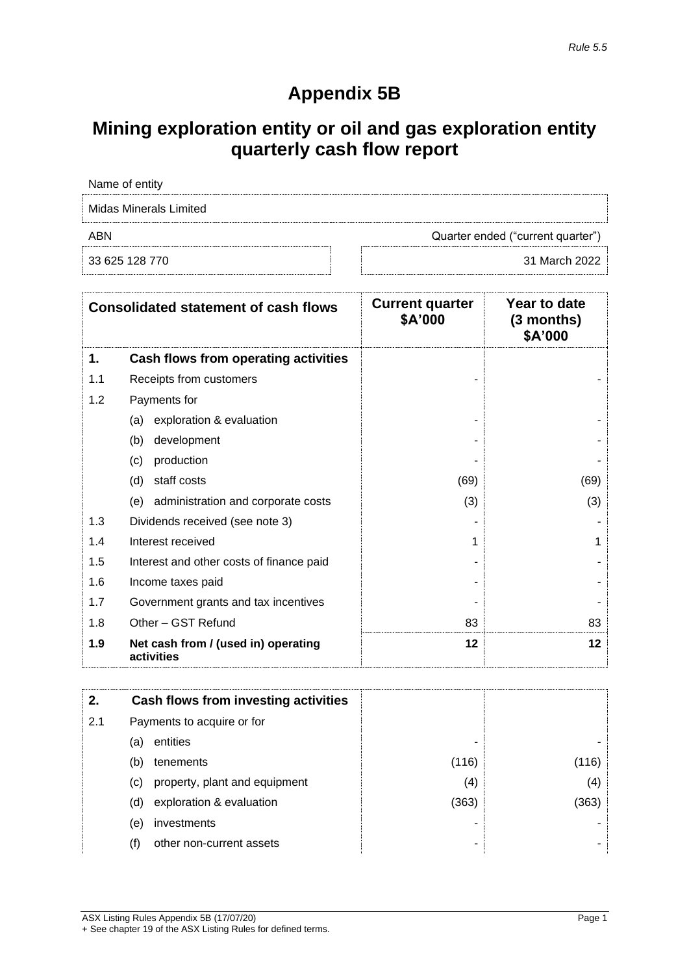## **Appendix 5B**

## **Mining exploration entity or oil and gas exploration entity quarterly cash flow report**

| Name of entity         |                                   |
|------------------------|-----------------------------------|
| Midas Minerals Limited |                                   |
| ABN                    | Quarter ended ("current quarter") |
| 33 625 128 770         | 31 March 2022                     |

|     | <b>Consolidated statement of cash flows</b>       | <b>Current quarter</b><br>\$A'000 | Year to date<br>$(3$ months)<br>\$A'000 |
|-----|---------------------------------------------------|-----------------------------------|-----------------------------------------|
| 1.  | Cash flows from operating activities              |                                   |                                         |
| 1.1 | Receipts from customers                           |                                   |                                         |
| 1.2 | Payments for                                      |                                   |                                         |
|     | exploration & evaluation<br>(a)                   |                                   |                                         |
|     | (b)<br>development                                |                                   |                                         |
|     | production<br>(c)                                 |                                   |                                         |
|     | staff costs<br>(d)                                | (69)                              | (69)                                    |
|     | (e) administration and corporate costs            | (3)                               | (3)                                     |
| 1.3 | Dividends received (see note 3)                   |                                   |                                         |
| 1.4 | Interest received                                 | 1                                 | 1                                       |
| 1.5 | Interest and other costs of finance paid          |                                   |                                         |
| 1.6 | Income taxes paid                                 |                                   |                                         |
| 1.7 | Government grants and tax incentives              |                                   |                                         |
| 1.8 | Other - GST Refund                                | 83                                | 83                                      |
| 1.9 | Net cash from / (used in) operating<br>activities | 12                                | 12                                      |

| 2.  | Cash flows from investing activities |       |       |
|-----|--------------------------------------|-------|-------|
| 2.1 | Payments to acquire or for           |       |       |
|     | entities<br>(a)                      | -     |       |
|     | (b)<br>tenements                     | (116) | (116) |
|     | property, plant and equipment<br>(C) | (4)   | (4)   |
|     | exploration & evaluation<br>(d)      | (363) | (363) |
|     | investments<br>(e)                   |       |       |
|     | other non-current assets<br>(f)      | -     |       |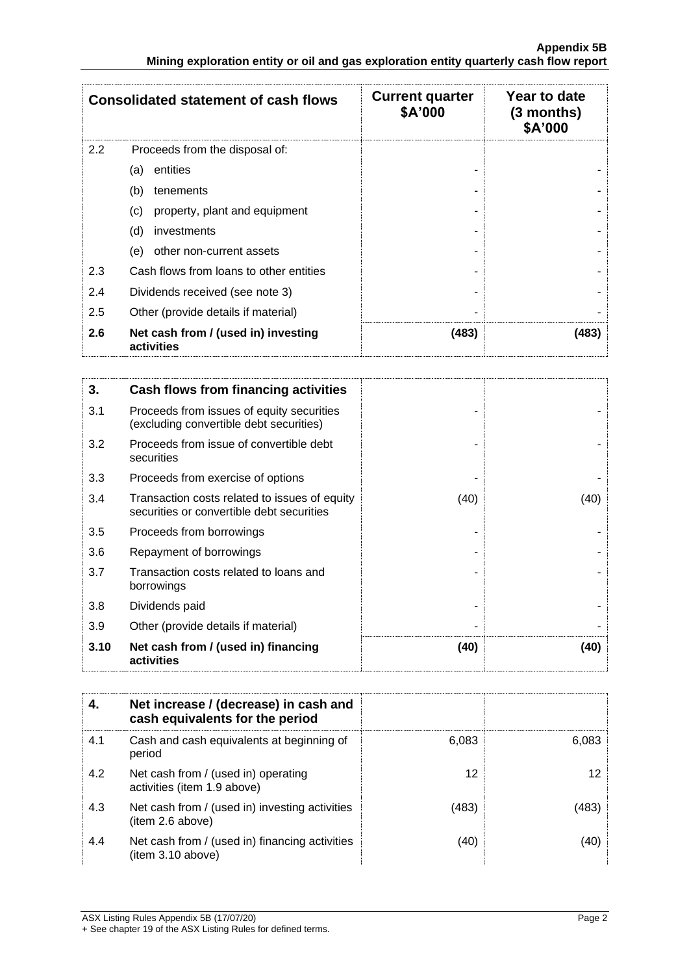|     | <b>Consolidated statement of cash flows</b>       | <b>Current quarter</b><br>\$A'000 | Year to date<br>(3 months)<br>\$A'000 |
|-----|---------------------------------------------------|-----------------------------------|---------------------------------------|
| 2.2 | Proceeds from the disposal of:                    |                                   |                                       |
|     | entities<br>(a)                                   |                                   |                                       |
|     | (b)<br>tenements                                  |                                   |                                       |
|     | (c)<br>property, plant and equipment              |                                   |                                       |
|     | (d)<br>investments                                |                                   |                                       |
|     | (e)<br>other non-current assets                   |                                   |                                       |
| 2.3 | Cash flows from loans to other entities           |                                   |                                       |
| 2.4 | Dividends received (see note 3)                   |                                   |                                       |
| 2.5 | Other (provide details if material)               |                                   |                                       |
| 2.6 | Net cash from / (used in) investing<br>activities | (483)                             | (483)                                 |

| 3.   | Cash flows from financing activities                                                       |      |      |
|------|--------------------------------------------------------------------------------------------|------|------|
| 3.1  | Proceeds from issues of equity securities<br>(excluding convertible debt securities)       |      |      |
| 3.2  | Proceeds from issue of convertible debt<br>securities                                      |      |      |
| 3.3  | Proceeds from exercise of options                                                          |      |      |
| 3.4  | Transaction costs related to issues of equity<br>securities or convertible debt securities | (40) | (40) |
| 3.5  | Proceeds from borrowings                                                                   |      |      |
| 3.6  | Repayment of borrowings                                                                    |      |      |
| 3.7  | Transaction costs related to loans and<br>borrowings                                       |      |      |
| 3.8  | Dividends paid                                                                             |      |      |
| 3.9  | Other (provide details if material)                                                        |      |      |
| 3.10 | Net cash from / (used in) financing<br>activities                                          | (40) | (40) |

|     | Net increase / (decrease) in cash and<br>cash equivalents for the period |       |       |
|-----|--------------------------------------------------------------------------|-------|-------|
| 4.1 | Cash and cash equivalents at beginning of<br>period                      | 6,083 | 6.083 |
| 4.2 | Net cash from / (used in) operating<br>activities (item 1.9 above)       | 12    | 12    |
| 4.3 | Net cash from / (used in) investing activities<br>(item 2.6 above)       | (483) | (483) |
| 4.4 | Net cash from / (used in) financing activities<br>item 3.10 above)       | (40)  | (40)  |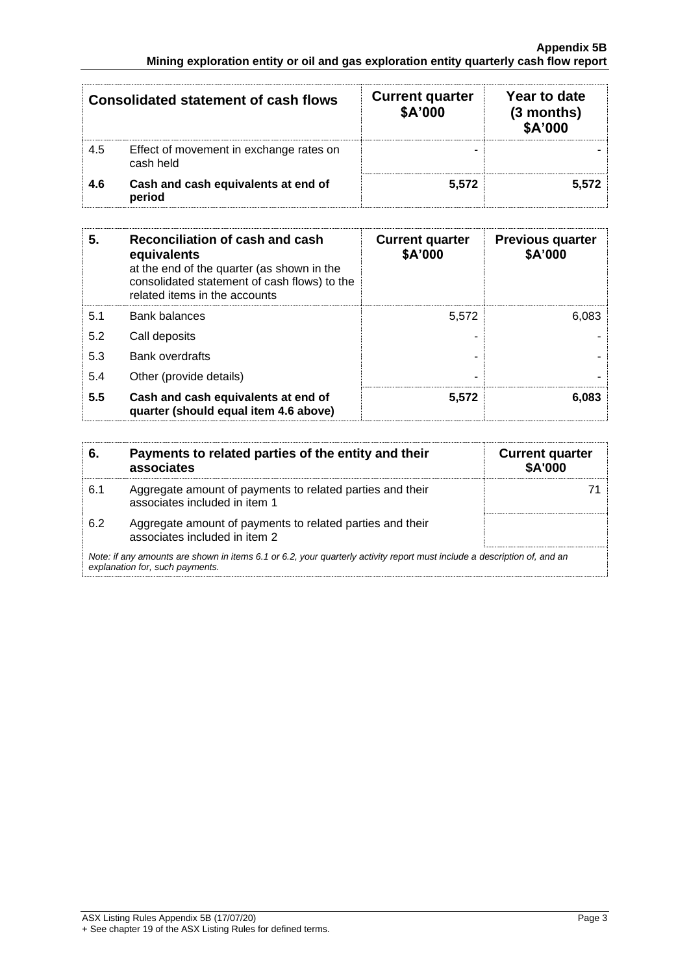|     | Consolidated statement of cash flows                 | <b>Current quarter</b><br>\$A'000 | Year to date<br>$(3$ months)<br>\$A'000 |
|-----|------------------------------------------------------|-----------------------------------|-----------------------------------------|
| 4.5 | Effect of movement in exchange rates on<br>cash held |                                   |                                         |
| 4.6 | Cash and cash equivalents at end of<br>period        | 5.572                             | 5.572                                   |

| 5.  | Reconciliation of cash and cash<br>equivalents<br>at the end of the quarter (as shown in the<br>consolidated statement of cash flows) to the<br>related items in the accounts | <b>Current quarter</b><br>\$A'000 | <b>Previous quarter</b><br>\$A'000 |
|-----|-------------------------------------------------------------------------------------------------------------------------------------------------------------------------------|-----------------------------------|------------------------------------|
| 5.1 | <b>Bank balances</b>                                                                                                                                                          | 5,572                             | 6,083                              |
| 5.2 | Call deposits                                                                                                                                                                 |                                   |                                    |
| 5.3 | <b>Bank overdrafts</b>                                                                                                                                                        |                                   |                                    |
| 5.4 | Other (provide details)                                                                                                                                                       | -                                 |                                    |
| 5.5 | Cash and cash equivalents at end of<br>quarter (should equal item 4.6 above)                                                                                                  | 5,572                             | 6,083                              |

| 6.  | Payments to related parties of the entity and their<br>associates                                                                                           | <b>Current quarter</b><br><b>\$A'000</b> |
|-----|-------------------------------------------------------------------------------------------------------------------------------------------------------------|------------------------------------------|
| 6.1 | Aggregate amount of payments to related parties and their<br>associates included in item 1                                                                  |                                          |
| 6.2 | Aggregate amount of payments to related parties and their<br>associates included in item 2                                                                  |                                          |
|     | Note: if any amounts are shown in items 6.1 or 6.2, your quarterly activity report must include a description of, and an<br>explanation for, such payments. |                                          |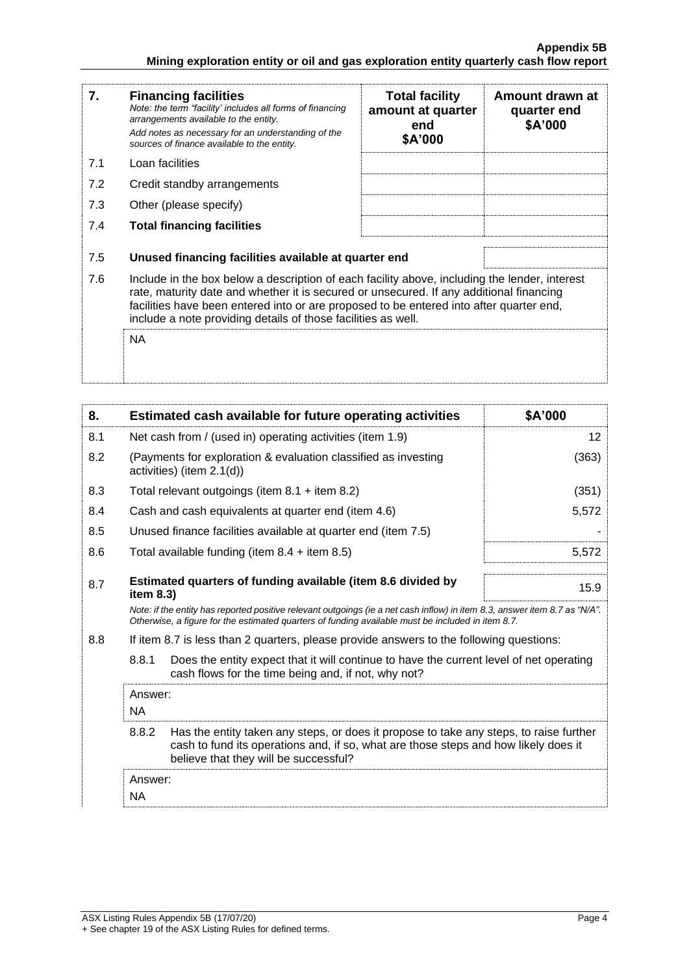| 7.  | <b>Financing facilities</b><br>Note: the term "facility' includes all forms of financing<br>arrangements available to the entity.<br>Add notes as necessary for an understanding of the<br>sources of finance available to the entity.                                                                                                               | <b>Total facility</b><br>amount at quarter<br>end<br>\$A'000 | Amount drawn at<br>quarter end<br>\$A'000 |
|-----|------------------------------------------------------------------------------------------------------------------------------------------------------------------------------------------------------------------------------------------------------------------------------------------------------------------------------------------------------|--------------------------------------------------------------|-------------------------------------------|
| 7.1 | Loan facilities                                                                                                                                                                                                                                                                                                                                      |                                                              |                                           |
| 7.2 | Credit standby arrangements                                                                                                                                                                                                                                                                                                                          |                                                              |                                           |
| 7.3 | Other (please specify)                                                                                                                                                                                                                                                                                                                               |                                                              |                                           |
| 7.4 | <b>Total financing facilities</b>                                                                                                                                                                                                                                                                                                                    |                                                              |                                           |
| 7.5 | Unused financing facilities available at quarter end                                                                                                                                                                                                                                                                                                 |                                                              |                                           |
| 7.6 | Include in the box below a description of each facility above, including the lender, interest<br>rate, maturity date and whether it is secured or unsecured. If any additional financing<br>facilities have been entered into or are proposed to be entered into after quarter end,<br>include a note providing details of those facilities as well. |                                                              |                                           |
|     | <b>NA</b>                                                                                                                                                                                                                                                                                                                                            |                                                              |                                           |

| 8.  | Estimated cash available for future operating activities                                                                                                                                                                        | \$A'000           |  |
|-----|---------------------------------------------------------------------------------------------------------------------------------------------------------------------------------------------------------------------------------|-------------------|--|
| 8.1 | Net cash from / (used in) operating activities (item 1.9)                                                                                                                                                                       | $12 \overline{ }$ |  |
| 8.2 | (Payments for exploration & evaluation classified as investing<br>activities) (item 2.1(d))                                                                                                                                     | (363)             |  |
| 8.3 | Total relevant outgoings (item $8.1 +$ item $8.2$ )                                                                                                                                                                             | (351)             |  |
| 8.4 | Cash and cash equivalents at quarter end (item 4.6)                                                                                                                                                                             | 5,572             |  |
| 8.5 | Unused finance facilities available at quarter end (item 7.5)                                                                                                                                                                   |                   |  |
| 8.6 | Total available funding (item $8.4 +$ item $8.5$ )                                                                                                                                                                              | 5,572             |  |
| 8.7 | Estimated quarters of funding available (item 8.6 divided by<br>item $8.3$ )                                                                                                                                                    | 15.9              |  |
|     | Note: if the entity has reported positive relevant outgoings (ie a net cash inflow) in item 8.3, answer item 8.7 as "N/A".<br>Otherwise, a figure for the estimated quarters of funding available must be included in item 8.7. |                   |  |
| 8.8 | If item 8.7 is less than 2 quarters, please provide answers to the following questions:                                                                                                                                         |                   |  |
|     | 8.8.1<br>Does the entity expect that it will continue to have the current level of net operating<br>cash flows for the time being and, if not, why not?                                                                         |                   |  |
|     | Answer:<br><b>NA</b>                                                                                                                                                                                                            |                   |  |
|     | 8.8.2<br>Has the entity taken any steps, or does it propose to take any steps, to raise further<br>cash to fund its operations and, if so, what are those steps and how likely does it<br>believe that they will be successful? |                   |  |
|     | Answer:                                                                                                                                                                                                                         |                   |  |
|     | <b>NA</b>                                                                                                                                                                                                                       |                   |  |